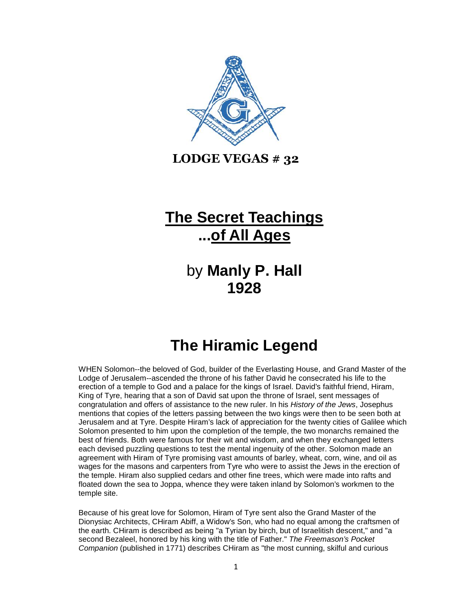

**LODGE VEGAS # 32**

## **The Secret Teachings ...of All Ages**

by **Manly P. Hall 1928**

## **The Hiramic Legend**

WHEN Solomon--the beloved of God, builder of the Everlasting House, and Grand Master of the Lodge of Jerusalem--ascended the throne of his father David he consecrated his life to the erection of a temple to God and a palace for the kings of Israel. David's faithful friend, Hiram, King of Tyre, hearing that a son of David sat upon the throne of Israel, sent messages of congratulation and offers of assistance to the new ruler. In his *History of the Jews*, Josephus mentions that copies of the letters passing between the two kings were then to be seen both at Jerusalem and at Tyre. Despite Hiram's lack of appreciation for the twenty cities of Galilee which Solomon presented to him upon the completion of the temple, the two monarchs remained the best of friends. Both were famous for their wit and wisdom, and when they exchanged letters each devised puzzling questions to test the mental ingenuity of the other. Solomon made an agreement with Hiram of Tyre promising vast amounts of barley, wheat, corn, wine, and oil as wages for the masons and carpenters from Tyre who were to assist the Jews in the erection of the temple. Hiram also supplied cedars and other fine trees, which were made into rafts and floated down the sea to Joppa, whence they were taken inland by Solomon's workmen to the temple site.

Because of his great love for Solomon, Hiram of Tyre sent also the Grand Master of the Dionysiac Architects, CHiram Abiff, a Widow's Son, who had no equal among the craftsmen of the earth. CHiram is described as being "a Tyrian by birch, but of Israelitish descent," and "a second Bezaleel, honored by his king with the title of Father." *The Freemason's Pocket Companion* (published in 1771) describes CHiram as "the most cunning, skilful and curious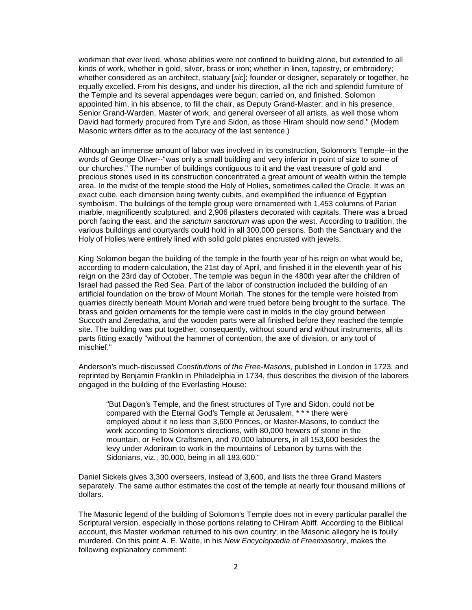workman that ever lived, whose abilities were not confined to building alone, but extended to all kinds of work, whether in gold, silver, brass or iron; whether in linen, tapestry, or embroidery; whether considered as an architect, statuary [*sic*]; founder or designer, separately or together, he equally excelled. From his designs, and under his direction, all the rich and splendid furniture of the Temple and its several appendages were begun, carried on, and finished. Solomon appointed him, in his absence, to fill the chair, as Deputy Grand-Master; and in his presence, Senior Grand-Warden, Master of work, and general overseer of all artists, as well those whom David had formerly procured from Tyre and Sidon, as those Hiram should now send." (Modem Masonic writers differ as to the accuracy of the last sentence.)

Although an immense amount of labor was involved in its construction, Solomon's Temple--in the words of George Oliver--"was only a small building and very inferior in point of size to some of our churches." The number of buildings contiguous to it and the vast treasure of gold and precious stones used in its construction concentrated a great amount of wealth within the temple area. In the midst of the temple stood the Holy of Holies, sometimes called the Oracle. It was an exact cube, each dimension being twenty cubits, and exemplified the influence of Egyptian symbolism. The buildings of the temple group were ornamented with 1,453 columns of Parian marble, magnificently sculptured, and 2,906 pilasters decorated with capitals. There was a broad porch facing the east, and the *sanctum sanctorum* was upon the west. According to tradition, the various buildings and courtyards could hold in all 300,000 persons. Both the Sanctuary and the Holy of Holies were entirely lined with solid gold plates encrusted with jewels.

King Solomon began the building of the temple in the fourth year of his reign on what would be, according to modern calculation, the 21st day of April, and finished it in the eleventh year of his reign on the 23rd day of October. The temple was begun in the 480th year after the children of Israel had passed the Red Sea. Part of the labor of construction included the building of an artificial foundation on the brow of Mount Moriah. The stones for the temple were hoisted from quarries directly beneath Mount Moriah and were trued before being brought to the surface. The brass and golden ornaments for the temple were cast in molds in the clay ground between Succoth and Zeredatha, and the wooden parts were all finished before they reached the temple site. The building was put together, consequently, without sound and without instruments, all its parts fitting exactly "without the hammer of contention, the axe of division, or any tool of mischief."

Anderson's much-discussed *Constitutions of the Free-Masons*, published in London in 1723, and reprinted by Benjamin Franklin in Philadelphia in 1734, thus describes the division of the laborers engaged in the building of the Everlasting House:

"But Dagon's Temple, and the finest structures of Tyre and Sidon, could not be compared with the Eternal God's Temple at Jerusalem, \* \* \* there were employed about it no less than 3,600 Princes, or Master-Masons, to conduct the work according to Solomon's directions, with 80,000 hewers of stone in the mountain, or Fellow Craftsmen, and 70,000 labourers, in all 153,600 besides the levy under Adoniram to work in the mountains of Lebanon by turns with the Sidonians, viz., 30,000, being in all 183,600."

Daniel Sickels gives 3,300 overseers, instead of 3,600, and lists the three Grand Masters separately. The same author estimates the cost of the temple at nearly four thousand millions of dollars.

The Masonic legend of the building of Solomon's Temple does not in every particular parallel the Scriptural version, especially in those portions relating to CHiram Abiff. According to the Biblical account, this Master workman returned to his own country; in the Masonic allegory he is foully murdered. On this point A. E. Waite, in his *New Encyclopædia of Freemasonry*, makes the following explanatory comment: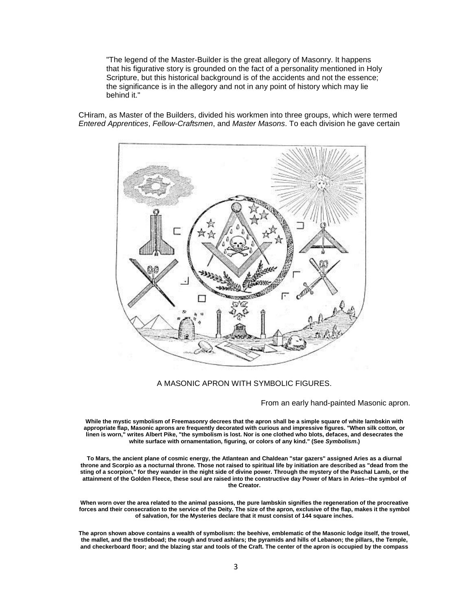"The legend of the Master-Builder is the great allegory of Masonry. It happens that his figurative story is grounded on the fact of a personality mentioned in Holy Scripture, but this historical background is of the accidents and not the essence; the significance is in the allegory and not in any point of history which may lie behind it."

CHiram, as Master of the Builders, divided his workmen into three groups, which were termed *Entered Apprentices*, *Fellow-Craftsmen*, and *Master Masons*. To each division he gave certain



## A MASONIC APRON WITH SYMBOLIC FIGURES.

From an early hand-painted Masonic apron.

**While the mystic symbolism of Freemasonry decrees that the apron shall be a simple square of white lambskin with appropriate flap, Masonic aprons are frequently decorated with curious and impressive figures. "When silk cotton, or linen is worn," writes Albert Pike, "the symbolism is lost. Nor is one clothed who blots, defaces, and desecrates the white surface with ornamentation, figuring, or colors of any kind." (See** *Symbolism***.)**

**To Mars, the ancient plane of cosmic energy, the Atlantean and Chaldean "star gazers" assigned Aries as a diurnal throne and Scorpio as a nocturnal throne. Those not raised to spiritual life by initiation are described as "dead from the sting of a scorpion," for they wander in the night side of divine power. Through the mystery of the Paschal Lamb, or the attainment of the Golden Fleece, these soul are raised into the constructive day Power of Mars in Aries--the symbol of the Creator.**

**When worn over the area related to the animal passions, the pure lambskin signifies the regeneration of the procreative forces and their consecration to the service of the Deity. The size of the apron, exclusive of the flap, makes it the symbol of salvation, for the Mysteries declare that it must consist of 144 square inches.**

**The apron shown above contains a wealth of symbolism: the beehive, emblematic of the Masonic lodge itself, the trowel, the mallet, and the trestleboad; the rough and trued ashlars; the pyramids and hills of Lebanon; the pillars, the Temple, and checkerboard floor; and the blazing star and tools of the Craft. The center of the apron is occupied by the compass**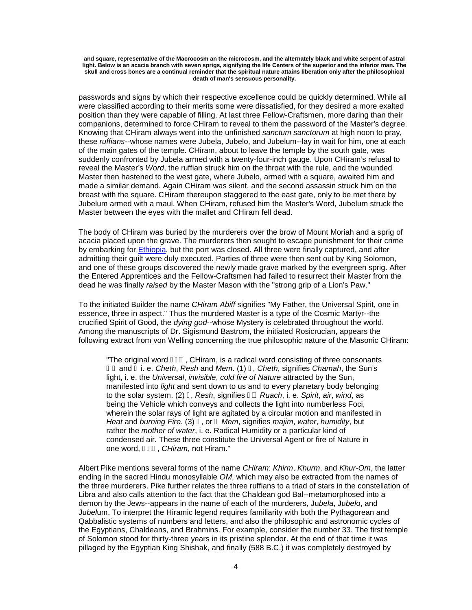**and square, representative of the Macrocosm an the microcosm, and the alternately black and white serpent of astral light. Below is an acacia branch with seven sprigs, signifying the life Centers of the superior and the inferior man. The skull and cross bones are a continual reminder that the spiritual nature attains liberation only after the philosophical death of man's sensuous personality.**

passwords and signs by which their respective excellence could be quickly determined. While all were classified according to their merits some were dissatisfied, for they desired a more exalted position than they were capable of filling. At last three Fellow-Craftsmen, more daring than their companions, determined to force CHiram to reveal to them the password of the Master's degree. Knowing that CHiram always went into the unfinished *sanctum sanctorum* at high noon to pray, these *ruffians*--whose names were Jubela, Jubelo, and Jubelum--lay in wait for him, one at each of the main gates of the temple. CHiram, about to leave the temple by the south gate, was suddenly confronted by Jubela armed with a twenty-four-inch gauge. Upon CHiram's refusal to reveal the Master's *Word*, the ruffian struck him on the throat with the rule, and the wounded Master then hastened to the west gate, where Jubelo, armed with a square, awaited him and made a similar demand. Again CHiram was silent, and the second assassin struck him on the breast with the square. CHiram thereupon staggered to the east gate, only to be met there by Jubelum armed with a maul. When CHiram, refused him the Master's Word, Jubelum struck the Master between the eyes with the mallet and CHiram fell dead.

The body of CHiram was buried by the murderers over the brow of Mount Moriah and a sprig of acacia placed upon the grave. The murderers then sought to escape punishment for their crime by embarking for Ethiopia, but the port was closed. All three were finally captured, and after admitting their guilt were duly executed. Parties of three were then sent out by King Solomon, and one of these groups discovered the newly made grave marked by the evergreen sprig. After the Entered Apprentices and the Fellow-Craftsmen had failed to resurrect their Master from the dead he was finally *raised* by the Master Mason with the "strong grip of a Lion's Paw."

To the initiated Builder the name *CHiram Abiff* signifies "My Father, the Universal Spirit, one in essence, three in aspect." Thus the murdered Master is a type of the Cosmic Martyr--the crucified Spirit of Good, the *dying god*--whose Mystery is celebrated throughout the world. Among the manuscripts of Dr. Sigismund Bastrom, the initiated Rosicrucian, appears the following extract from von Welling concerning the true philosophic nature of the Masonic CHiram:

"The original word , CHiram, is a radical word consisting of three consonants and i. e. *Cheth, Resh* and *Mem.* (1) , *Cheth, signifies Chamah, the Sun's* light, i. e. the *Universal*, *invisible*, *cold fire of Nature* attracted by the Sun, manifested into *light* and sent down to us and to every planetary body belonging to the solar system. (2) , *Resh*, signifies Ruach, i. e. Spirit, air, wind, as being the Vehicle which conveys and collects the light into numberless Foci, wherein the solar rays of light are agitated by a circular motion and manifested in *Heat* and *burning Fire.* (3) , or *Mem*, signifies *majim*, water, *humidity*, but rather the *mother of water*, i. e. Radical Humidity or a particular kind of condensed air. These three constitute the Universal Agent or fire of Nature in one word, Fig. CHiram, not Hiram."

Albert Pike mentions several forms of the name *CHiram*: *Khirm*, *Khurm*, and *Khur-Om*, the latter ending in the sacred Hindu monosyllable *OM*, which may also be extracted from the names of the three murderers. Pike further relates the three ruffians to a triad of stars in the constellation of Libra and also calls attention to the fact that the Chaldean god Bal--metamorphosed into a demon by the Jews--appears in the name of each of the murderers, Ju*bel*a, Ju*bel*o, and Ju*bel*um. To interpret the Hiramic legend requires familiarity with both the Pythagorean and Qabbalistic systems of numbers and letters, and also the philosophic and astronomic cycles of the Egyptians, Chaldeans, and Brahmins. For example, consider the number 33. The first temple of Solomon stood for thirty-three years in its pristine splendor. At the end of that time it was pillaged by the Egyptian King Shishak, and finally (588 B.C.) it was completely destroyed by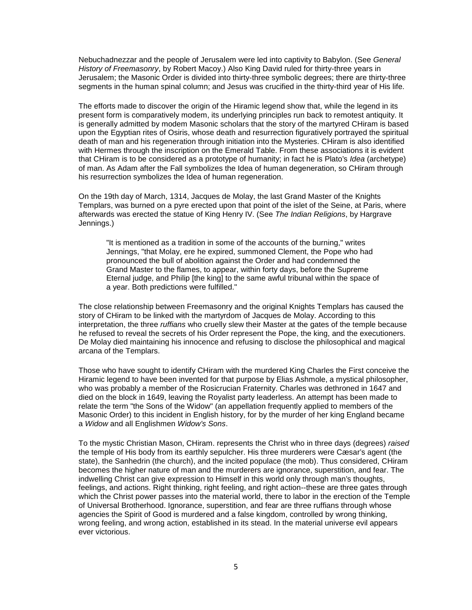Nebuchadnezzar and the people of Jerusalem were led into captivity to Babylon. (See *General History of Freemasonry*, by Robert Macoy.) Also King David ruled for thirty-three years in Jerusalem; the Masonic Order is divided into thirty-three symbolic degrees; there are thirty-three segments in the human spinal column; and Jesus was crucified in the thirty-third year of His life.

The efforts made to discover the origin of the Hiramic legend show that, while the legend in its present form is comparatively modem, its underlying principles run back to remotest antiquity. It is generally admitted by modem Masonic scholars that the story of the martyred CHiram is based upon the Egyptian rites of Osiris, whose death and resurrection figuratively portrayed the spiritual death of man and his regeneration through initiation into the Mysteries. CHiram is also identified with Hermes through the inscription on the Emerald Table. From these associations it is evident that CHiram is to be considered as a prototype of humanity; in fact he is Plato's *Idea* (archetype) of man. As Adam after the Fall symbolizes the Idea of human degeneration, so CHiram through his resurrection symbolizes the Idea of human regeneration.

On the 19th day of March, 1314, Jacques de Molay, the last Grand Master of the Knights Templars, was burned on a pyre erected upon that point of the islet of the Seine, at Paris, where afterwards was erected the statue of King Henry IV. (See *The Indian Religions*, by Hargrave Jennings.)

"It is mentioned as a tradition in some of the accounts of the burning," writes Jennings, "that Molay, ere he expired, summoned Clement, the Pope who had pronounced the bull of abolition against the Order and had condemned the Grand Master to the flames, to appear, within forty days, before the Supreme Eternal judge, and Philip [the king] to the same awful tribunal within the space of a year. Both predictions were fulfilled."

The close relationship between Freemasonry and the original Knights Templars has caused the story of CHiram to be linked with the martyrdom of Jacques de Molay. According to this interpretation, the three *ruffians* who cruelly slew their Master at the gates of the temple because he refused to reveal the secrets of his Order represent the Pope, the king, and the executioners. De Molay died maintaining his innocence and refusing to disclose the philosophical and magical arcana of the Templars.

Those who have sought to identify CHiram with the murdered King Charles the First conceive the Hiramic legend to have been invented for that purpose by Elias Ashmole, a mystical philosopher, who was probably a member of the Rosicrucian Fraternity. Charles was dethroned in 1647 and died on the block in 1649, leaving the Royalist party leaderless. An attempt has been made to relate the term "the Sons of the Widow" (an appellation frequently applied to members of the Masonic Order) to this incident in English history, for by the murder of her king England became a *Widow* and all Englishmen *Widow's Sons*.

To the mystic Christian Mason, CHiram. represents the Christ who in three days (degrees) *raised* the temple of His body from its earthly sepulcher. His three murderers were Cæsar's agent (the state), the Sanhedrin (the church), and the incited populace (the mob). Thus considered, CHiram becomes the higher nature of man and the murderers are ignorance, superstition, and fear. The indwelling Christ can give expression to Himself in this world only through man's thoughts, feelings, and actions. Right thinking, right feeling, and right action--these are three gates through which the Christ power passes into the material world, there to labor in the erection of the Temple of Universal Brotherhood. Ignorance, superstition, and fear are three ruffians through whose agencies the Spirit of Good is murdered and a false kingdom, controlled by wrong thinking, wrong feeling, and wrong action, established in its stead. In the material universe evil appears ever victorious.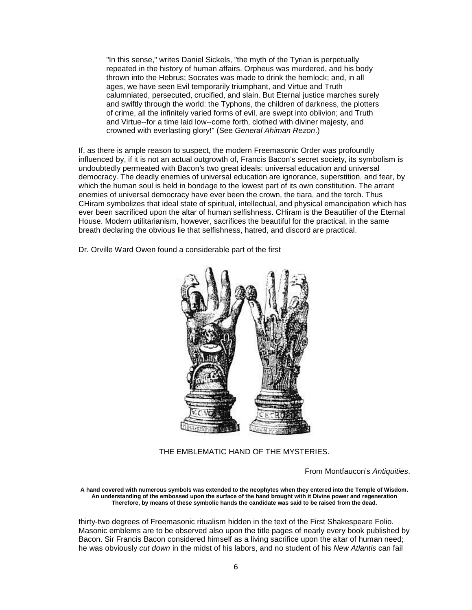"In this sense," writes Daniel Sickels, "the myth of the Tyrian is perpetually repeated in the history of human affairs. Orpheus was murdered, and his body thrown into the Hebrus; Socrates was made to drink the hemlock; and, in all ages, we have seen Evil temporarily triumphant, and Virtue and Truth calumniated, persecuted, crucified, and slain. But Eternal justice marches surely and swiftly through the world: the Typhons, the children of darkness, the plotters of crime, all the infinitely varied forms of evil, are swept into oblivion; and Truth and Virtue--for a time laid low--come forth, clothed with diviner majesty, and crowned with everlasting glory!" (See *General Ahiman Rezon*.)

If, as there is ample reason to suspect, the modern Freemasonic Order was profoundly influenced by, if it is not an actual outgrowth of, Francis Bacon's secret society, its symbolism is undoubtedly permeated with Bacon's two great ideals: universal education and universal democracy. The deadly enemies of universal education are ignorance, superstition, and fear, by which the human soul is held in bondage to the lowest part of its own constitution. The arrant enemies of universal democracy have ever been the crown, the tiara, and the torch. Thus CHiram symbolizes that ideal state of spiritual, intellectual, and physical emancipation which has ever been sacrificed upon the altar of human selfishness. CHiram is the Beautifier of the Eternal House. Modern utilitarianism, however, sacrifices the beautiful for the practical, in the same breath declaring the obvious lie that selfishness, hatred, and discord are practical.

Dr. Orville Ward Owen found a considerable part of the first



THE EMBLEMATIC HAND OF THE MYSTERIES.

From Montfaucon's *Antiquities*.

**A hand covered with numerous symbols was extended to the neophytes when they entered into the Temple of Wisdom. An understanding of the embossed upon the surface of the hand brought with it Divine power and regeneration Therefore, by means of these symbolic hands the candidate was said to be raised from the dead.**

thirty-two degrees of Freemasonic ritualism hidden in the text of the First Shakespeare Folio. Masonic emblems are to be observed also upon the title pages of nearly every book published by Bacon. Sir Francis Bacon considered himself as a living sacrifice upon the altar of human need; he was obviously *cut down* in the midst of his labors, and no student of his *New Atlantis* can fail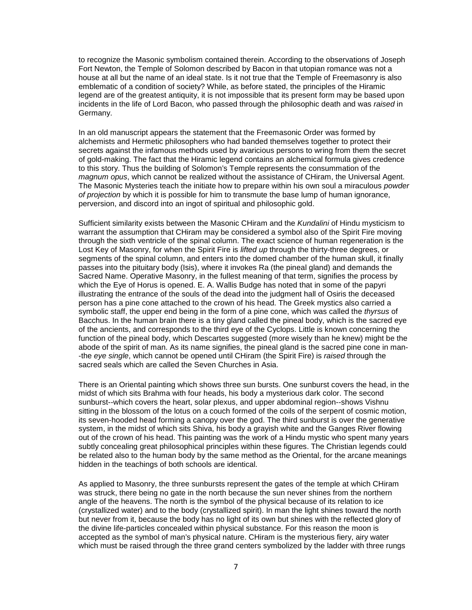to recognize the Masonic symbolism contained therein. According to the observations of Joseph Fort Newton, the Temple of Solomon described by Bacon in that utopian romance was not a house at all but the name of an ideal state. Is it not true that the Temple of Freemasonry is also emblematic of a condition of society? While, as before stated, the principles of the Hiramic legend are of the greatest antiquity, it is not impossible that its present form may be based upon incidents in the life of Lord Bacon, who passed through the philosophic death and was *raised* in Germany.

In an old manuscript appears the statement that the Freemasonic Order was formed by alchemists and Hermetic philosophers who had banded themselves together to protect their secrets against the infamous methods used by avaricious persons to wring from them the secret of gold-making. The fact that the Hiramic legend contains an alchemical formula gives credence to this story. Thus the building of Solomon's Temple represents the consummation of the *magnum opus*, which cannot be realized without the assistance of CHiram, the Universal Agent. The Masonic Mysteries teach the initiate how to prepare within his own soul a miraculous *powder of projection* by which it is possible for him to transmute the base lump of human ignorance, perversion, and discord into an ingot of spiritual and philosophic gold.

Sufficient similarity exists between the Masonic CHiram and the *Kundalini* of Hindu mysticism to warrant the assumption that CHiram may be considered a symbol also of the Spirit Fire moving through the sixth ventricle of the spinal column. The exact science of human regeneration is the Lost Key of Masonry, for when the Spirit Fire is *lifted up* through the thirty-three degrees, or segments of the spinal column, and enters into the domed chamber of the human skull, it finally passes into the pituitary body (Isis), where it invokes Ra (the pineal gland) and demands the Sacred Name. Operative Masonry, in the fullest meaning of that term, signifies the process by which the Eye of Horus is opened. E. A. Wallis Budge has noted that in some of the papyri illustrating the entrance of the souls of the dead into the judgment hall of Osiris the deceased person has a pine cone attached to the crown of his head. The Greek mystics also carried a symbolic staff, the upper end being in the form of a pine cone, which was called the *thyrsus* of Bacchus. In the human brain there is a tiny gland called the pineal body, which is the sacred eye of the ancients, and corresponds to the third eye of the Cyclops. Little is known concerning the function of the pineal body, which Descartes suggested (more wisely than he knew) might be the abode of the spirit of man. As its name signifies, the pineal gland is the sacred pine cone in man- -the *eye single*, which cannot be opened until CHiram (the Spirit Fire) is *raised* through the sacred seals which are called the Seven Churches in Asia.

There is an Oriental painting which shows three sun bursts. One sunburst covers the head, in the midst of which sits Brahma with four heads, his body a mysterious dark color. The second sunburst--which covers the heart, solar plexus, and upper abdominal region--shows Vishnu sitting in the blossom of the lotus on a couch formed of the coils of the serpent of cosmic motion, its seven-hooded head forming a canopy over the god. The third sunburst is over the generative system, in the midst of which sits Shiva, his body a grayish white and the Ganges River flowing out of the crown of his head. This painting was the work of a Hindu mystic who spent many years subtly concealing great philosophical principles within these figures. The Christian legends could be related also to the human body by the same method as the Oriental, for the arcane meanings hidden in the teachings of both schools are identical.

As applied to Masonry, the three sunbursts represent the gates of the temple at which CHiram was struck, there being no gate in the north because the sun never shines from the northern angle of the heavens. The north is the symbol of the physical because of its relation to ice (crystallized water) and to the body (crystallized spirit). In man the light shines toward the north but never from it, because the body has no light of its own but shines with the reflected glory of the divine life-particles concealed within physical substance. For this reason the moon is accepted as the symbol of man's physical nature. CHiram is the mysterious fiery, airy water which must be raised through the three grand centers symbolized by the ladder with three rungs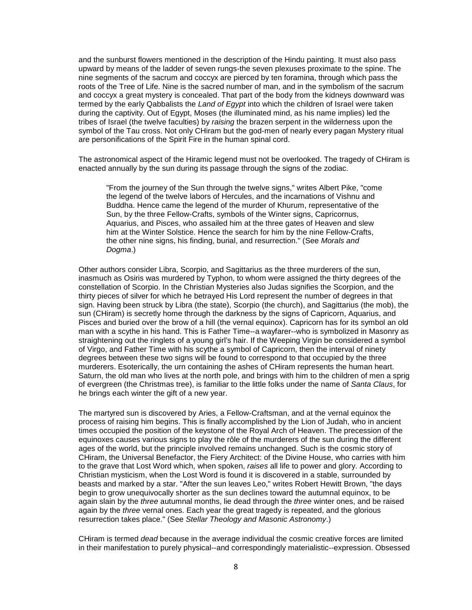and the sunburst flowers mentioned in the description of the Hindu painting. It must also pass upward by means of the ladder of seven rungs-the seven plexuses proximate to the spine. The nine segments of the sacrum and coccyx are pierced by ten foramina, through which pass the roots of the Tree of Life. Nine is the sacred number of man, and in the symbolism of the sacrum and coccyx a great mystery is concealed. That part of the body from the kidneys downward was termed by the early Qabbalists the *Land of Egypt* into which the children of Israel were taken during the captivity. Out of Egypt, Moses (the illuminated mind, as his name implies) led the tribes of Israel (the twelve faculties) by *raising* the brazen serpent in the wilderness upon the symbol of the Tau cross. Not only CHiram but the god-men of nearly every pagan Mystery ritual are personifications of the Spirit Fire in the human spinal cord.

The astronomical aspect of the Hiramic legend must not be overlooked. The tragedy of CHiram is enacted annually by the sun during its passage through the signs of the zodiac.

"From the journey of the Sun through the twelve signs," writes Albert Pike, "come the legend of the twelve labors of Hercules, and the incarnations of Vishnu and Buddha. Hence came the legend of the murder of Khurum, representative of the Sun, by the three Fellow-Crafts, symbols of the Winter signs, Capricornus, Aquarius, and Pisces, who assailed him at the three gates of Heaven and slew him at the Winter Solstice. Hence the search for him by the nine Fellow-Crafts, the other nine signs, his finding, burial, and resurrection." (See *Morals and Dogma*.)

Other authors consider Libra, Scorpio, and Sagittarius as the three murderers of the sun, inasmuch as Osiris was murdered by Typhon, to whom were assigned the thirty degrees of the constellation of Scorpio. In the Christian Mysteries also Judas signifies the Scorpion, and the thirty pieces of silver for which he betrayed His Lord represent the number of degrees in that sign. Having been struck by Libra (the state), Scorpio (the church), and Sagittarius (the mob), the sun (CHiram) is secretly home through the darkness by the signs of Capricorn, Aquarius, and Pisces and buried over the brow of a hill (the vernal equinox). Capricorn has for its symbol an old man with a scythe in his hand. This is Father Time--a wayfarer--who is symbolized in Masonry as straightening out the ringlets of a young girl's hair. If the Weeping Virgin be considered a symbol of Virgo, and Father Time with his scythe a symbol of Capricorn, then the interval of ninety degrees between these two signs will be found to correspond to that occupied by the three murderers. Esoterically, the urn containing the ashes of CHiram represents the human heart. Saturn, the old man who lives at the north pole, and brings with him to the children of men a sprig of evergreen (the Christmas tree), is familiar to the little folks under the name of *Santa Claus*, for he brings each winter the gift of a new year.

The martyred sun is discovered by Aries, a Fellow-Craftsman, and at the vernal equinox the process of raising him begins. This is finally accomplished by the Lion of Judah, who in ancient times occupied the position of the keystone of the Royal Arch of Heaven. The precession of the equinoxes causes various signs to play the rôle of the murderers of the sun during the different ages of the world, but the principle involved remains unchanged. Such is the cosmic story of CHiram, the Universal Benefactor, the Fiery Architect: of the Divine House, who carries with him to the grave that Lost Word which, when spoken, *raises* all life to power and glory. According to Christian mysticism, when the Lost Word is found it is discovered in a stable, surrounded by beasts and marked by a star. "After the sun leaves Leo," writes Robert Hewitt Brown, "the days begin to grow unequivocally shorter as the sun declines toward the autumnal equinox, to be again slain by the *three* autumnal months, lie dead through the *three* winter ones, and be raised again by the *three* vernal ones. Each year the great tragedy is repeated, and the glorious resurrection takes place." (See *Stellar Theology and Masonic Astronomy*.)

CHiram is termed *dead* because in the average individual the cosmic creative forces are limited in their manifestation to purely physical--and correspondingly materialistic--expression. Obsessed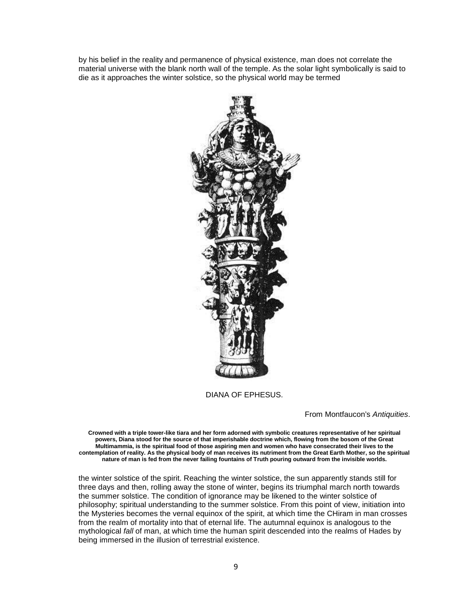by his belief in the reality and permanence of physical existence, man does not correlate the material universe with the blank north wall of the temple. As the solar light symbolically is said to die as it approaches the winter solstice, so the physical world may be termed



DIANA OF EPHESUS.

From Montfaucon's *Antiquities*.

**Crowned with a triple tower-like tiara and her form adorned with symbolic creatures representative of her spiritual powers, Diana stood for the source of that imperishable doctrine which, flowing from the bosom of the Great Multimammia, is the spiritual food of those aspiring men and women who have consecrated their lives to the contemplation of reality. As the physical body of man receives its nutriment from the Great Earth Mother, so the spiritual nature of man is fed from the never failing fountains of Truth pouring outward from the invisible worlds.**

the winter solstice of the spirit. Reaching the winter solstice, the sun apparently stands still for three days and then, rolling away the stone of winter, begins its triumphal march north towards the summer solstice. The condition of ignorance may be likened to the winter solstice of philosophy; spiritual understanding to the summer solstice. From this point of view, initiation into the Mysteries becomes the vernal equinox of the spirit, at which time the CHiram in man crosses from the realm of mortality into that of eternal life. The autumnal equinox is analogous to the mythological *fall* of man, at which time the human spirit descended into the realms of Hades by being immersed in the illusion of terrestrial existence.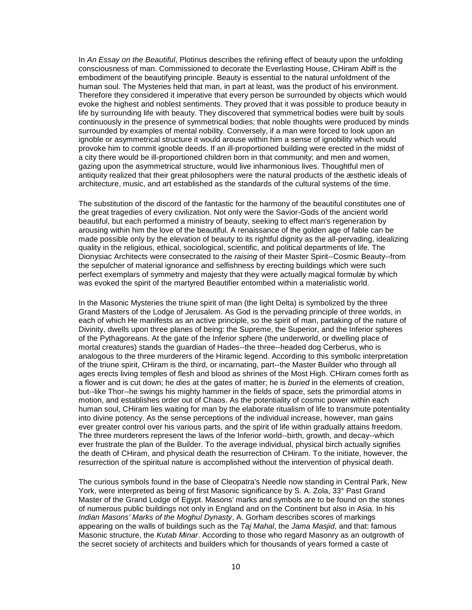In *An Essay on the Beautiful*, Plotinus describes the refining effect of beauty upon the unfolding consciousness of man. Commissioned to decorate the Everlasting House, CHiram Abiff is the embodiment of the beautifying principle. Beauty is essential to the natural unfoldment of the human soul. The Mysteries held that man, in part at least, was the product of his environment. Therefore they considered it imperative that every person be surrounded by objects which would evoke the highest and noblest sentiments. They proved that it was possible to produce beauty in life by surrounding life with beauty. They discovered that symmetrical bodies were built by souls continuously in the presence of symmetrical bodies; that noble thoughts were produced by minds surrounded by examples of mental nobility. Conversely, if a man were forced to look upon an ignoble or asymmetrical structure it would arouse within him a sense of ignobility which would provoke him to commit ignoble deeds. If an ill-proportioned building were erected in the midst of a city there would be ill-proportioned children born in that community; and men and women, gazing upon the asymmetrical structure, would live inharmonious lives. Thoughtful men of antiquity realized that their great philosophers were the natural products of the æsthetic ideals of architecture, music, and art established as the standards of the cultural systems of the time.

The substitution of the discord of the fantastic for the harmony of the beautiful constitutes one of the great tragedies of every civilization. Not only were the Savior-Gods of the ancient world beautiful, but each performed a ministry of beauty, seeking to effect man's regeneration by arousing within him the love of the beautiful. A renaissance of the golden age of fable can be made possible only by the elevation of beauty to its rightful dignity as the all-pervading, idealizing quality in the religious, ethical, sociological, scientific, and political departments of life. The Dionysiac Architects were consecrated to the *raising* of their Master Spirit--Cosmic Beauty--from the sepulcher of material ignorance and selfishness by erecting buildings which were such perfect exemplars of symmetry and majesty that they were actually magical formulæ by which was evoked the spirit of the martyred Beautifier entombed within a materialistic world.

In the Masonic Mysteries the triune spirit of man (the light Delta) is symbolized by the three Grand Masters of the Lodge of Jerusalem. As God is the pervading principle of three worlds, in each of which He manifests as an active principle, so the spirit of man, partaking of the nature of Divinity, dwells upon three planes of being: the Supreme, the Superior, and the Inferior spheres of the Pythagoreans. At the gate of the Inferior sphere (the underworld, or dwelling place of mortal creatures) stands the guardian of Hades--the three--headed dog Cerberus, who is analogous to the three murderers of the Hiramic legend. According to this symbolic interpretation of the triune spirit, CHiram is the third, or incarnating, part--the Master Builder who through all ages erects living temples of flesh and blood as shrines of the Most High. CHiram comes forth as a flower and is cut down; he *dies* at the gates of matter; he is *buried* in the elements of creation, but--like Thor--he swings his mighty hammer in the fields of space, sets the primordial atoms in motion, and establishes order out of Chaos. As the potentiality of cosmic power within each human soul, CHiram lies waiting for man by the elaborate ritualism of life to transmute potentiality into divine potency. As the sense perceptions of the individual increase, however, man gains ever greater control over his various parts, and the spirit of life within gradually attains freedom. The three murderers represent the laws of the Inferior world--birth, growth, and decay--which ever frustrate the plan of the Builder. To the average individual, physical birch actually signifies the death of CHiram, and physical death the resurrection of CHiram. To the initiate, however, the resurrection of the spiritual nature is accomplished without the intervention of physical death.

The curious symbols found in the base of Cleopatra's Needle now standing in Central Park, New York, were interpreted as being of first Masonic significance by S. A. Zola, 33° Past Grand Master of the Grand Lodge of Egypt. Masons' marks and symbols are to be found on the stones of numerous public buildings not only in England and on the Continent but also in Asia. In his *Indian Masons' Marks of the Moghul Dynasty*, A. Gorham describes scores of markings appearing on the walls of buildings such as the *Taj Mahal*, the *Jama Masjid*, and that: famous Masonic structure, the *Kutab Minar*. According to those who regard Masonry as an outgrowth of the secret society of architects and builders which for thousands of years formed a caste of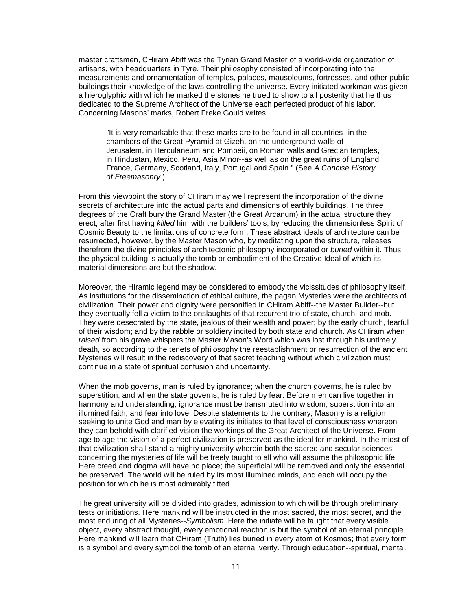master craftsmen, CHiram Abiff was the Tyrian Grand Master of a world-wide organization of artisans, with headquarters in Tyre. Their philosophy consisted of incorporating into the measurements and ornamentation of temples, palaces, mausoleums, fortresses, and other public buildings their knowledge of the laws controlling the universe. Every initiated workman was given a hieroglyphic with which he marked the stones he trued to show to all posterity that he thus dedicated to the Supreme Architect of the Universe each perfected product of his labor. Concerning Masons' marks, Robert Freke Gould writes:

"It is very remarkable that these marks are to be found in all countries--in the chambers of the Great Pyramid at Gizeh, on the underground walls of Jerusalem, in Herculaneum and Pompeii, on Roman walls and Grecian temples, in Hindustan, Mexico, Peru, Asia Minor--as well as on the great ruins of England, France, Germany, Scotland, Italy, Portugal and Spain." (See *A Concise History of Freemasonry*.)

From this viewpoint the story of CHiram may well represent the incorporation of the divine secrets of architecture into the actual parts and dimensions of earthly buildings. The three degrees of the Craft bury the Grand Master (the Great Arcanum) in the actual structure they erect, after first having *killed* him with the builders' tools, by reducing the dimensionless Spirit of Cosmic Beauty to the limitations of concrete form. These abstract ideals of architecture can be resurrected, however, by the Master Mason who, by meditating upon the structure, releases therefrom the divine principles of architectonic philosophy incorporated or *buried* within it. Thus the physical building is actually the tomb or embodiment of the Creative Ideal of which its material dimensions are but the shadow.

Moreover, the Hiramic legend may be considered to embody the vicissitudes of philosophy itself. As institutions for the dissemination of ethical culture, the pagan Mysteries were the architects of civilization. Their power and dignity were personified in CHiram Abiff--the Master Builder--but they eventually fell a victim to the onslaughts of that recurrent trio of state, church, and mob. They were desecrated by the state, jealous of their wealth and power; by the early church, fearful of their wisdom; and by the rabble or soldiery incited by both state and church. As CHiram when *raised* from his grave whispers the Master Mason's Word which was lost through his untimely death, so according to the tenets of philosophy the reestablishment or resurrection of the ancient Mysteries will result in the rediscovery of that secret teaching without which civilization must continue in a state of spiritual confusion and uncertainty.

When the mob governs, man is ruled by ignorance; when the church governs, he is ruled by superstition; and when the state governs, he is ruled by fear. Before men can live together in harmony and understanding, ignorance must be transmuted into wisdom, superstition into an illumined faith, and fear into love. Despite statements to the contrary, Masonry is a religion seeking to unite God and man by elevating its initiates to that level of consciousness whereon they can behold with clarified vision the workings of the Great Architect of the Universe. From age to age the vision of a perfect civilization is preserved as the ideal for mankind. In the midst of that civilization shall stand a mighty university wherein both the sacred and secular sciences concerning the mysteries of life will be freely taught to all who will assume the philosophic life. Here creed and dogma will have no place; the superficial will be removed and only the essential be preserved. The world will be ruled by its most illumined minds, and each will occupy the position for which he is most admirably fitted.

The great university will be divided into grades, admission to which will be through preliminary tests or initiations. Here mankind will be instructed in the most sacred, the most secret, and the most enduring of all Mysteries--*Symbolism*. Here the initiate will be taught that every visible object, every abstract thought, every emotional reaction is but the symbol of an eternal principle. Here mankind will learn that CHiram (Truth) lies buried in every atom of Kosmos; that every form is a symbol and every symbol the tomb of an eternal verity. Through education--spiritual, mental,